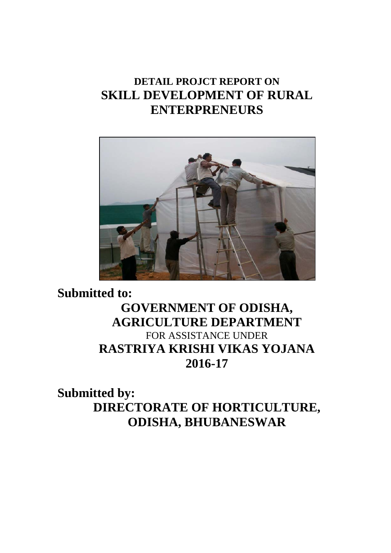## **DETAIL PROJCT REPORT ON SKILL DEVELOPMENT OF RURAL ENTERPRENEURS**



## **Submitted to: GOVERNMENT OF ODISHA, AGRICULTURE DEPARTMENT**  FOR ASSISTANCE UNDER **RASTRIYA KRISHI VIKAS YOJANA 2016-17**

## **Submitted by: DIRECTORATE OF HORTICULTURE, ODISHA, BHUBANESWAR**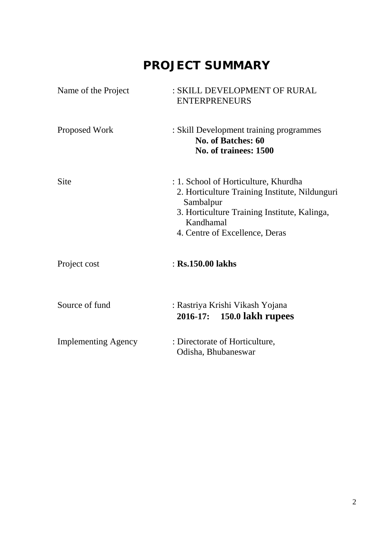# **PROJECT SUMMARY**

| Name of the Project        | : SKILL DEVELOPMENT OF RURAL<br><b>ENTERPRENEURS</b>                                                                                                                                               |
|----------------------------|----------------------------------------------------------------------------------------------------------------------------------------------------------------------------------------------------|
| Proposed Work              | : Skill Development training programmes<br><b>No. of Batches: 60</b><br>No. of trainees: 1500                                                                                                      |
| <b>Site</b>                | : 1. School of Horticulture, Khurdha<br>2. Horticulture Training Institute, Nildunguri<br>Sambalpur<br>3. Horticulture Training Institute, Kalinga,<br>Kandhamal<br>4. Centre of Excellence, Deras |
| Project cost               | $:$ Rs.150.00 lakhs                                                                                                                                                                                |
| Source of fund             | : Rastriya Krishi Vikash Yojana<br>2016-17: 150.0 lakh rupees                                                                                                                                      |
| <b>Implementing Agency</b> | : Directorate of Horticulture,<br>Odisha, Bhubaneswar                                                                                                                                              |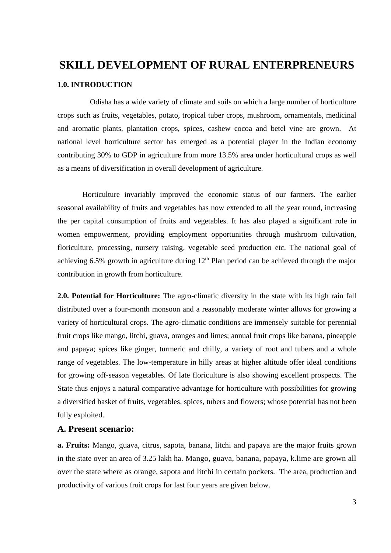# **SKILL DEVELOPMENT OF RURAL ENTERPRENEURS 1.0. INTRODUCTION**

 Odisha has a wide variety of climate and soils on which a large number of horticulture crops such as fruits, vegetables, potato, tropical tuber crops, mushroom, ornamentals, medicinal and aromatic plants, plantation crops, spices, cashew cocoa and betel vine are grown. At national level horticulture sector has emerged as a potential player in the Indian economy contributing 30% to GDP in agriculture from more 13.5% area under horticultural crops as well as a means of diversification in overall development of agriculture.

 Horticulture invariably improved the economic status of our farmers. The earlier seasonal availability of fruits and vegetables has now extended to all the year round, increasing the per capital consumption of fruits and vegetables. It has also played a significant role in women empowerment, providing employment opportunities through mushroom cultivation, floriculture, processing, nursery raising, vegetable seed production etc. The national goal of achieving 6.5% growth in agriculture during  $12<sup>th</sup>$  Plan period can be achieved through the major contribution in growth from horticulture.

**2.0. Potential for Horticulture:** The agro-climatic diversity in the state with its high rain fall distributed over a four-month monsoon and a reasonably moderate winter allows for growing a variety of horticultural crops. The agro-climatic conditions are immensely suitable for perennial fruit crops like mango, litchi, guava, oranges and limes; annual fruit crops like banana, pineapple and papaya; spices like ginger, turmeric and chilly, a variety of root and tubers and a whole range of vegetables. The low-temperature in hilly areas at higher altitude offer ideal conditions for growing off-season vegetables. Of late floriculture is also showing excellent prospects. The State thus enjoys a natural comparative advantage for horticulture with possibilities for growing a diversified basket of fruits, vegetables, spices, tubers and flowers; whose potential has not been fully exploited.

#### **A. Present scenario:**

**a. Fruits:** Mango, guava, citrus, sapota, banana, litchi and papaya are the major fruits grown in the state over an area of 3.25 lakh ha. Mango, guava, banana, papaya, k.lime are grown all over the state where as orange, sapota and litchi in certain pockets. The area, production and productivity of various fruit crops for last four years are given below.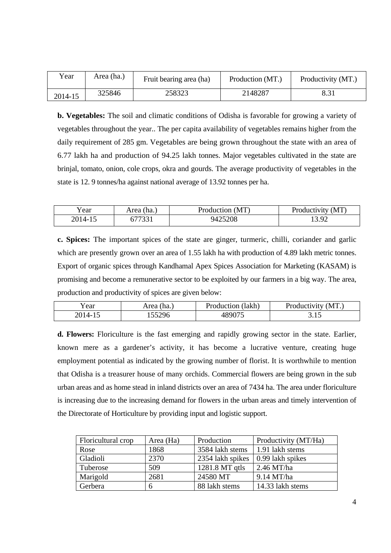| Year    | Area (ha.) | Fruit bearing area (ha) | Production (MT.) | Productivity (MT.) |
|---------|------------|-------------------------|------------------|--------------------|
| 2014-15 | 325846     | 258323                  | 2148287          |                    |

**b. Vegetables:** The soil and climatic conditions of Odisha is favorable for growing a variety of vegetables throughout the year.. The per capita availability of vegetables remains higher from the daily requirement of 285 gm. Vegetables are being grown throughout the state with an area of 6.77 lakh ha and production of 94.25 lakh tonnes. Major vegetables cultivated in the state are brinjal, tomato, onion, cole crops, okra and gourds. The average productivity of vegetables in the state is 12. 9 tonnes/ha against national average of 13.92 tonnes per ha.

| r ear  | Area (ha., | Production (MT) | Productivity (MT) |
|--------|------------|-----------------|-------------------|
| 2014-1 | 77001      | 9425208         | $13.0^\circ$      |

**c. Spices:** The important spices of the state are ginger, turmeric, chilli, coriander and garlic which are presently grown over an area of 1.55 lakh ha with production of 4.89 lakh metric tonnes. Export of organic spices through Kandhamal Apex Spices Association for Marketing (KASAM) is promising and become a remunerative sector to be exploited by our farmers in a big way. The area, production and productivity of spices are given below:

| ′ear  | Area (ha.                | (lakh)<br>Production | (MT)<br>Productivity |
|-------|--------------------------|----------------------|----------------------|
| 2014- | 55296<br>1 <i>JJ4J</i> U | 190075               | <u>J.IJ</u>          |

**d. Flowers:** Floriculture is the fast emerging and rapidly growing sector in the state. Earlier, known mere as a gardener's activity, it has become a lucrative venture, creating huge employment potential as indicated by the growing number of florist. It is worthwhile to mention that Odisha is a treasurer house of many orchids. Commercial flowers are being grown in the sub urban areas and as home stead in inland districts over an area of 7434 ha. The area under floriculture is increasing due to the increasing demand for flowers in the urban areas and timely intervention of the Directorate of Horticulture by providing input and logistic support.

| Floricultural crop | Area (Ha) | Production       | Productivity (MT/Ha) |
|--------------------|-----------|------------------|----------------------|
| Rose               | 1868      | 3584 lakh stems  | 1.91 lakh stems      |
| Gladioli           | 2370      | 2354 lakh spikes | 0.99 lakh spikes     |
| Tuberose           | 509       | 1281.8 MT qtls   | $2.46$ MT/ha         |
| Marigold           | 2681      | 24580 MT         | $9.14$ MT/ha         |
| Gerbera            | 6         | 88 lakh stems    | 14.33 lakh stems     |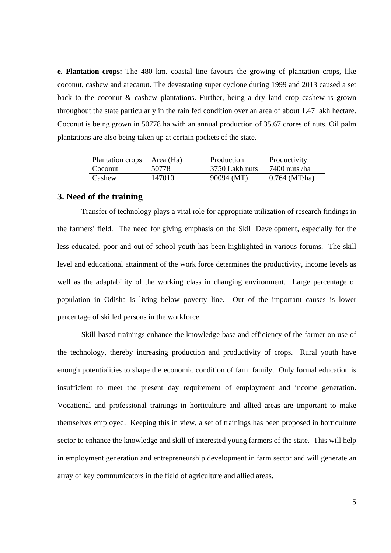**e. Plantation crops:** The 480 km. coastal line favours the growing of plantation crops, like coconut, cashew and arecanut. The devastating super cyclone during 1999 and 2013 caused a set back to the coconut & cashew plantations. Further, being a dry land crop cashew is grown throughout the state particularly in the rain fed condition over an area of about 1.47 lakh hectare. Coconut is being grown in 50778 ha with an annual production of 35.67 crores of nuts. Oil palm plantations are also being taken up at certain pockets of the state.

| Plantation crops | Area (Ha) | Production      | Productivity    |
|------------------|-----------|-----------------|-----------------|
| Coconut          | 50778     | -3750 Lakh nuts | 7400 nuts /ha   |
| Cashew           | 147010    | 90094 (MT)      | $0.764$ (MT/ha) |

#### **3. Need of the training**

 Transfer of technology plays a vital role for appropriate utilization of research findings in the farmers' field. The need for giving emphasis on the Skill Development, especially for the less educated, poor and out of school youth has been highlighted in various forums. The skill level and educational attainment of the work force determines the productivity, income levels as well as the adaptability of the working class in changing environment. Large percentage of population in Odisha is living below poverty line. Out of the important causes is lower percentage of skilled persons in the workforce.

 Skill based trainings enhance the knowledge base and efficiency of the farmer on use of the technology, thereby increasing production and productivity of crops. Rural youth have enough potentialities to shape the economic condition of farm family. Only formal education is insufficient to meet the present day requirement of employment and income generation. Vocational and professional trainings in horticulture and allied areas are important to make themselves employed. Keeping this in view, a set of trainings has been proposed in horticulture sector to enhance the knowledge and skill of interested young farmers of the state. This will help in employment generation and entrepreneurship development in farm sector and will generate an array of key communicators in the field of agriculture and allied areas.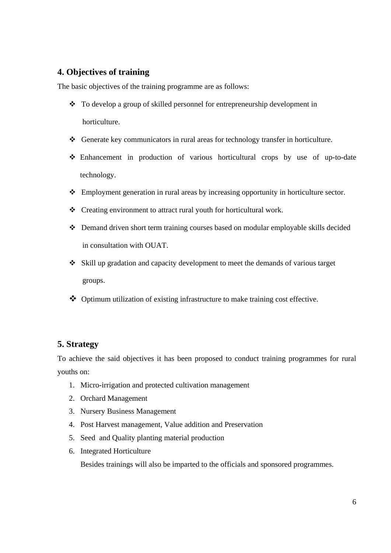#### **4. Objectives of training**

The basic objectives of the training programme are as follows:

- To develop a group of skilled personnel for entrepreneurship development in horticulture.
- Generate key communicators in rural areas for technology transfer in horticulture.
- Enhancement in production of various horticultural crops by use of up-to-date technology.
- Employment generation in rural areas by increasing opportunity in horticulture sector.
- Creating environment to attract rural youth for horticultural work.
- Demand driven short term training courses based on modular employable skills decided in consultation with OUAT.
- Skill up gradation and capacity development to meet the demands of various target groups.
- Optimum utilization of existing infrastructure to make training cost effective.

#### **5. Strategy**

To achieve the said objectives it has been proposed to conduct training programmes for rural youths on:

- 1. Micro-irrigation and protected cultivation management
- 2. Orchard Management
- 3. Nursery Business Management
- 4. Post Harvest management, Value addition and Preservation
- 5. Seed and Quality planting material production
- 6. Integrated Horticulture

Besides trainings will also be imparted to the officials and sponsored programmes.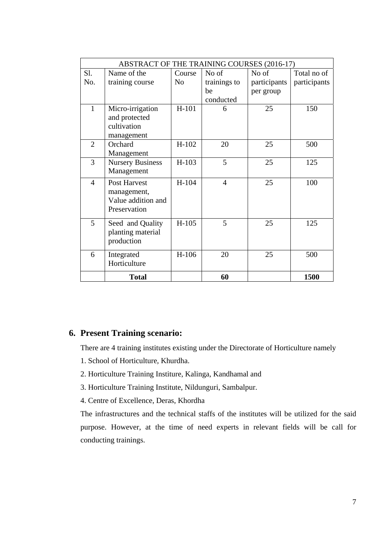|                | <b>ABSTRACT OF THE TRAINING COURSES (2016-17)</b>                        |                |                |              |              |
|----------------|--------------------------------------------------------------------------|----------------|----------------|--------------|--------------|
| S1.            | Name of the                                                              | Course         | No of          | No of        | Total no of  |
| No.            | training course                                                          | N <sub>o</sub> | trainings to   | participants | participants |
|                |                                                                          |                | be             | per group    |              |
|                |                                                                          |                | conducted      |              |              |
| $\mathbf{1}$   | Micro-irrigation<br>and protected<br>cultivation<br>management           | $H-101$        | 6              | 25           | 150          |
| $\overline{2}$ | Orchard<br>Management                                                    | $H-102$        | 20             | 25           | 500          |
| 3              | <b>Nursery Business</b><br>Management                                    | $H-103$        | 5              | 25           | 125          |
| $\overline{4}$ | <b>Post Harvest</b><br>management,<br>Value addition and<br>Preservation | H-104          | $\overline{4}$ | 25           | 100          |
| 5              | Seed and Quality<br>planting material<br>production                      | $H-105$        | 5              | 25           | 125          |
| 6              | Integrated<br>Horticulture                                               | $H-106$        | 20             | 25           | 500          |
|                | <b>Total</b>                                                             |                | 60             |              | 1500         |

#### **6. Present Training scenario:**

There are 4 training institutes existing under the Directorate of Horticulture namely

- 1. School of Horticulture, Khurdha.
- 2. Horticulture Training Institure, Kalinga, Kandhamal and
- 3. Horticulture Training Institute, Nildunguri, Sambalpur.
- 4. Centre of Excellence, Deras, Khordha

The infrastructures and the technical staffs of the institutes will be utilized for the said purpose. However, at the time of need experts in relevant fields will be call for conducting trainings.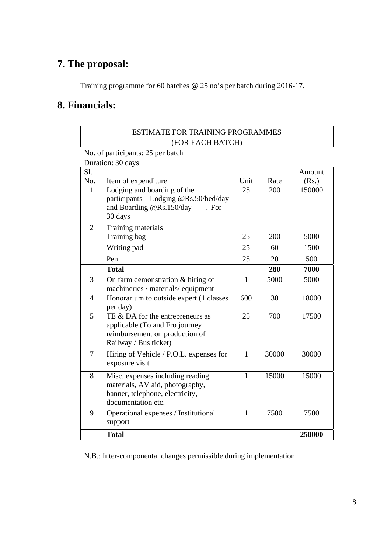## **7. The proposal:**

Training programme for 60 batches @ 25 no's per batch during 2016-17.

### **8. Financials:**

#### ESTIMATE FOR TRAINING PROGRAMMES (FOR EACH BATCH)

No. of participants: 25 per batch

Duration: 30 days

| S1.            |                                                                                                                               |              |       | Amount |
|----------------|-------------------------------------------------------------------------------------------------------------------------------|--------------|-------|--------|
| No.            | Item of expenditure                                                                                                           | Unit         | Rate  | (Rs.)  |
| $\mathbf{1}$   | Lodging and boarding of the<br>participants Lodging @Rs.50/bed/day<br>and Boarding @Rs.150/day<br>. For<br>30 days            | 25           | 200   | 150000 |
| $\overline{2}$ | Training materials                                                                                                            |              |       |        |
|                | Training bag                                                                                                                  | 25           | 200   | 5000   |
|                | Writing pad                                                                                                                   | 25           | 60    | 1500   |
|                | Pen                                                                                                                           | 25           | 20    | 500    |
|                | <b>Total</b>                                                                                                                  |              | 280   | 7000   |
| $\overline{3}$ | On farm demonstration & hiring of<br>machineries / materials/ equipment                                                       | $\mathbf{1}$ | 5000  | 5000   |
| $\overline{4}$ | Honorarium to outside expert (1 classes<br>per day)                                                                           | 600          | 30    | 18000  |
| 5              | TE & DA for the entrepreneurs as<br>applicable (To and Fro journey<br>reimbursement on production of<br>Railway / Bus ticket) | 25           | 700   | 17500  |
| $\overline{7}$ | Hiring of Vehicle / P.O.L. expenses for<br>exposure visit                                                                     | $\mathbf{1}$ | 30000 | 30000  |
| 8              | Misc. expenses including reading<br>materials, AV aid, photography,<br>banner, telephone, electricity,<br>documentation etc.  | $\mathbf{1}$ | 15000 | 15000  |
| 9              | Operational expenses / Institutional<br>support                                                                               | $\mathbf{1}$ | 7500  | 7500   |
|                | <b>Total</b>                                                                                                                  |              |       | 250000 |

N.B.: Inter-componental changes permissible during implementation.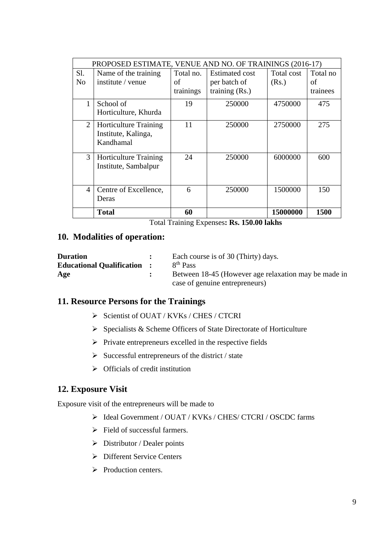|                | PROPOSED ESTIMATE, VENUE AND NO. OF TRAININGS (2016-17) |           |                       |            |          |
|----------------|---------------------------------------------------------|-----------|-----------------------|------------|----------|
| Sl.            | Name of the training                                    | Total no. | <b>Estimated cost</b> | Total cost | Total no |
| N <sub>0</sub> | institute / venue                                       | of        | per batch of          | (Rs.)      | οf       |
|                |                                                         | trainings | training $(Rs.)$      |            | trainees |
| 1              | School of                                               | 19        | 250000                | 4750000    | 475      |
|                | Horticulture, Khurda                                    |           |                       |            |          |
| 2              | <b>Horticulture Training</b>                            | 11        | 250000                | 2750000    | 275      |
|                | Institute, Kalinga,                                     |           |                       |            |          |
|                | Kandhamal                                               |           |                       |            |          |
| 3              | <b>Horticulture Training</b>                            | 24        | 250000                | 6000000    | 600      |
|                | Institute, Sambalpur                                    |           |                       |            |          |
|                |                                                         |           |                       |            |          |
| 4              | Centre of Excellence,                                   | 6         | 250000                | 1500000    | 150      |
|                | Deras                                                   |           |                       |            |          |
|                | <b>Total</b>                                            | 60        |                       | 15000000   | 1500     |

Total Training Expenses**: Rs. 150.00 lakhs** 

#### **10. Modalities of operation:**

| <b>Duration</b>                    | Each course is of 30 (Thirty) days.                  |
|------------------------------------|------------------------------------------------------|
| <b>Educational Qualification :</b> | 8 <sup>th</sup> Pass                                 |
| Age                                | Between 18-45 (However age relaxation may be made in |
|                                    | case of genuine entrepreneurs)                       |

#### **11. Resource Persons for the Trainings**

- ¾ Scientist of OUAT / KVKs / CHES / CTCRI
- $\triangleright$  Specialists & Scheme Officers of State Directorate of Horticulture
- $\triangleright$  Private entrepreneurs excelled in the respective fields
- $\triangleright$  Successful entrepreneurs of the district / state
- $\triangleright$  Officials of credit institution

#### **12. Exposure Visit**

Exposure visit of the entrepreneurs will be made to

- ¾ Ideal Government / OUAT / KVKs / CHES/ CTCRI / OSCDC farms
- $\triangleright$  Field of successful farmers.
- $\triangleright$  Distributor / Dealer points
- $\triangleright$  Different Service Centers
- $\triangleright$  Production centers.